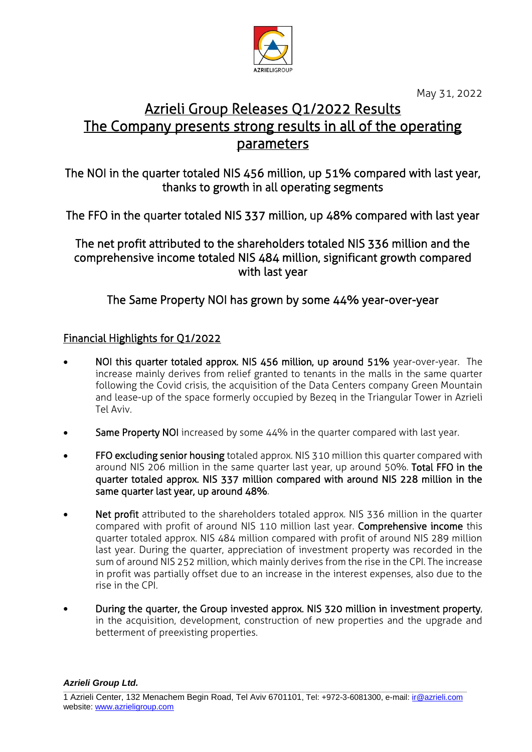

May 31, 2022

# Azrieli Group Releases Q1/2022 Results The Company presents strong results in all of the operating parameters

The NOI in the quarter totaled NIS 456 million, up 51% compared with last year, thanks to growth in all operating segments

The FFO in the quarter totaled NIS 337 million, up 48% compared with last year

The net profit attributed to the shareholders totaled NIS 336 million and the comprehensive income totaled NIS 484 million, significant growth compared with last year

The Same Property NOI has grown by some 44% year-over-year

## Financial Highlights for Q1/2022

- NOI this quarter totaled approx. NIS 456 million, up around 51% year-over-year. The increase mainly derives from relief granted to tenants in the malls in the same quarter following the Covid crisis, the acquisition of the Data Centers company Green Mountain and lease-up of the space formerly occupied by Bezeq in the Triangular Tower in Azrieli Tel Aviv.
- Same Property NOI increased by some 44% in the quarter compared with last year.
- FFO excluding senior housing totaled approx. NIS 310 million this quarter compared with around NIS 206 million in the same quarter last year, up around 50%. Total FFO in the quarter totaled approx. NIS 337 million compared with around NIS 228 million in the same quarter last year, up around 48%.
- Net profit attributed to the shareholders totaled approx. NIS 336 million in the quarter compared with profit of around NIS 110 million last year. Comprehensive income this quarter totaled approx. NIS 484 million compared with profit of around NIS 289 million last year. During the quarter, appreciation of investment property was recorded in the sum of around NIS 252 million, which mainly derives from the rise in the CPI. The increase in profit was partially offset due to an increase in the interest expenses, also due to the rise in the CPI.
- During the quarter, the Group invested approx. NIS 320 million in investment property, in the acquisition, development, construction of new properties and the upgrade and betterment of preexisting properties.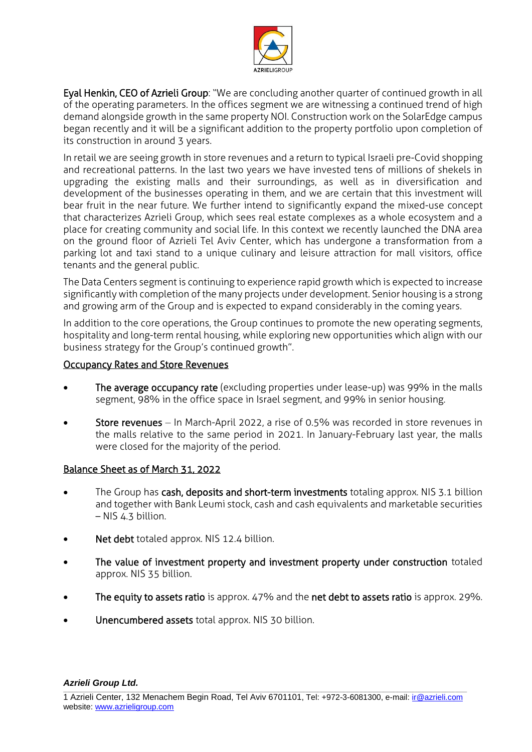

Eyal Henkin, CEO of Azrieli Group: "We are concluding another quarter of continued growth in all of the operating parameters. In the offices segment we are witnessing a continued trend of high demand alongside growth in the same property NOI. Construction work on the SolarEdge campus began recently and it will be a significant addition to the property portfolio upon completion of its construction in around 3 years.

In retail we are seeing growth in store revenues and a return to typical Israeli pre-Covid shopping and recreational patterns. In the last two years we have invested tens of millions of shekels in upgrading the existing malls and their surroundings, as well as in diversification and development of the businesses operating in them, and we are certain that this investment will bear fruit in the near future. We further intend to significantly expand the mixed-use concept that characterizes Azrieli Group, which sees real estate complexes as a whole ecosystem and a place for creating community and social life. In this context we recently launched the DNA area on the ground floor of Azrieli Tel Aviv Center, which has undergone a transformation from a parking lot and taxi stand to a unique culinary and leisure attraction for mall visitors, office tenants and the general public.

The Data Centers segment is continuing to experience rapid growth which is expected to increase significantly with completion of the many projects under development. Senior housing is a strong and growing arm of the Group and is expected to expand considerably in the coming years.

In addition to the core operations, the Group continues to promote the new operating segments, hospitality and long-term rental housing, while exploring new opportunities which align with our business strategy for the Group's continued growth".

#### Occupancy Rates and Store Revenues

- The average occupancy rate (excluding properties under lease-up) was 99% in the malls segment, 98% in the office space in Israel segment, and 99% in senior housing.
- Store revenues In March-April 2022, a rise of 0.5% was recorded in store revenues in the malls relative to the same period in 2021. In January-February last year, the malls were closed for the majority of the period.

#### Balance Sheet as of March 31, 2022

- The Group has cash, deposits and short-term investments totaling approx. NIS 3.1 billion and together with Bank Leumi stock, cash and cash equivalents and marketable securities – NIS 4.3 billion.
- Net debt totaled approx. NIS 12.4 billion.
- The value of investment property and investment property under construction totaled approx. NIS 35 billion.
- The equity to assets ratio is approx. 47% and the net debt to assets ratio is approx. 29%.
- Unencumbered assets total approx. NIS 30 billion.